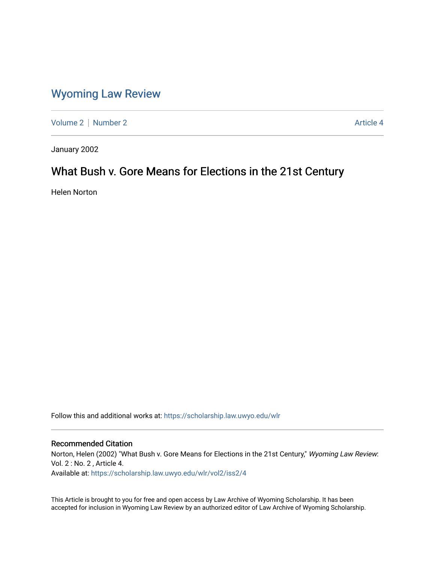## [Wyoming Law Review](https://scholarship.law.uwyo.edu/wlr)

[Volume 2](https://scholarship.law.uwyo.edu/wlr/vol2) | [Number 2](https://scholarship.law.uwyo.edu/wlr/vol2/iss2) Article 4

January 2002

# What Bush v. Gore Means for Elections in the 21st Century

Helen Norton

Follow this and additional works at: [https://scholarship.law.uwyo.edu/wlr](https://scholarship.law.uwyo.edu/wlr?utm_source=scholarship.law.uwyo.edu%2Fwlr%2Fvol2%2Fiss2%2F4&utm_medium=PDF&utm_campaign=PDFCoverPages) 

#### Recommended Citation

Norton, Helen (2002) "What Bush v. Gore Means for Elections in the 21st Century," Wyoming Law Review: Vol. 2 : No. 2 , Article 4.

Available at: [https://scholarship.law.uwyo.edu/wlr/vol2/iss2/4](https://scholarship.law.uwyo.edu/wlr/vol2/iss2/4?utm_source=scholarship.law.uwyo.edu%2Fwlr%2Fvol2%2Fiss2%2F4&utm_medium=PDF&utm_campaign=PDFCoverPages) 

This Article is brought to you for free and open access by Law Archive of Wyoming Scholarship. It has been accepted for inclusion in Wyoming Law Review by an authorized editor of Law Archive of Wyoming Scholarship.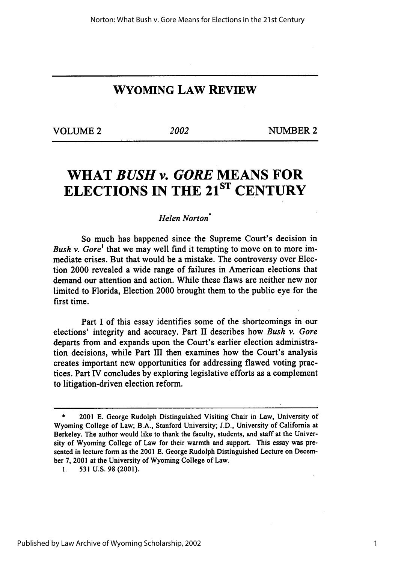### **WYOMING LAW REVIEW**

VOLUME 2 2002 NUMBER 2

# **WHAT** *BUSH v. GORE* **MEANS FOR ELECTIONS IN THE 2 1ST CENTURY**

#### *Helen Norton\**

So much has happened since the Supreme Court's decision in *Bush v. Gore'* that we may well find it tempting to move on to more immediate crises. But that would be a mistake. The controversy over Election 2000 revealed a wide range of failures in American elections that demand our attention and action. While these flaws are neither new nor limited to Florida, Election 2000 brought them to the public eye for the first time.

Part I of this essay identifies some of the shortcomings in our elections' integrity and accuracy. Part II describes how *Bush v. Gore* departs from and expands upon the Court's earlier election administration decisions, while Part III then examines how the Court's analysis creates important new opportunities for addressing flawed voting practices. Part IV concludes by exploring legislative efforts as a complement to litigation-driven election reform.

**<sup>\*</sup>** 2001 **E.** George Rudolph Distinguished Visiting Chair in Law, University of Wyoming College of Law; B.A., Stanford University; **J.D.,** University of California at Berkeley. The author would like to thank the faculty, students, and staff at the University of Wyoming College of Law for their warmth and support. This essay was presented in lecture form as the 2001 **E.** George Rudolph Distinguished Lecture on December **7,** 2001 at the University of Wyoming College of Law.

**<sup>1.</sup> 531 U.S. 98** (2001).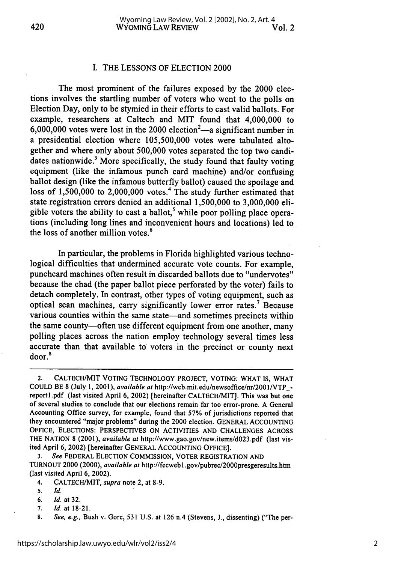#### I. THE LESSONS OF ELECTION 2000

The most prominent of the failures exposed by the 2000 elections involves the startling number of voters who went to the polls on Election Day, only to be stymied in their efforts to cast valid ballots. For example, researchers at Caltech and MIT found that 4,000,000 to 6,000,000 votes were lost in the 2000 election<sup>2</sup>—a significant number in a presidential election where 105,500,000 votes were tabulated altogether and where only about 500,000 votes separated the top two candidates nationwide.<sup>3</sup> More specifically, the study found that faulty voting equipment (like the infamous punch card machine) and/or confusing ballot design (like the infamous butterfly ballot) caused the spoilage and loss of  $1,500,000$  to  $2,000,000$  votes.<sup>4</sup> The study further estimated that state registration errors denied an additional 1,500,000 to 3,000,000 eligible voters the ability to cast a ballot,<sup>5</sup> while poor polling place operations (including long lines and inconvenient hours and locations) led to the loss of another million votes.6

In particular, the problems in Florida highlighted various technological difficulties that undermined accurate vote counts. For example, punchcard machines often result in discarded ballots due to "undervotes" because the chad (the paper ballot piece perforated by the voter) fails to detach completely. In contrast, other types of voting equipment, such as optical scan machines, carry significantly lower error rates.7 Because various counties within the same state-and sometimes precincts within the same county—often use different equipment from one another, many polling places across the nation employ technology several times less accurate than that available to voters in the precinct or county next door.'

2. CALTECH/MIT VOTING TECHNOLOGY PROJECT, VOTING: WHAT IS, WHAT COULD BE 8 (July 1, 2001), *available at* http://web.mit.edu/newsoffice/nr/2OO1/VTP\_ reportl.pdf (last visited April 6, 2002) [hereinafter CALTECH/MIT]. This was but one of several studies to conclude that our elections remain far too error-prone. A General Accounting Office survey, for example, found that 57% of jurisdictions reported that they encountered "major problems" during the 2000 election. GENERAL ACCOUNTING OFFICE, ELECTIONS: PERSPECTIVES ON ACTIVITIES AND CHALLENGES ACROSS THE NATION 8 (2001), *available at* http://www.gao.gov/new.items/d023.pdf (last visited April 6, 2002) [hereinafter GENERAL ACCOUNTING OFFICE].

3. *See* FEDERAL ELECTION COMMISSION, VOTER REGISTRATION AND TURNOUT 2000 (2000), *available at* http://fecwebl.gov/pubrec/2000presgeresults.htm (last visited April 6, 2002).

- 4. CALTECH/MIT, *supra* note 2, at 8-9.
- 5. *Id.*
- **6.** Id. at 32.
- 7. *Id.* at 18-21.
- 8. *See, e.g.,* Bush v. Gore, 531 U.S. at 126 n.4 (Stevens, J., dissenting) ("The per-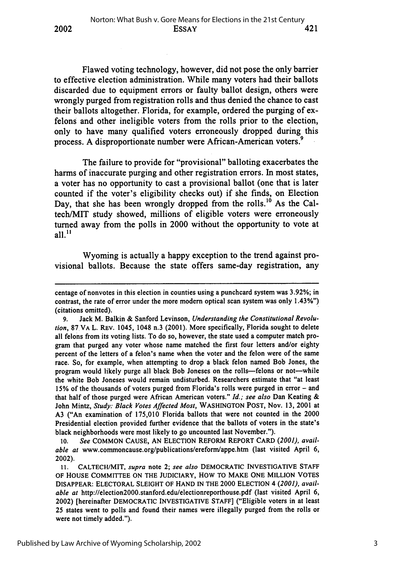Flawed voting technology, however, did not pose the only barrier to effective election administration. While many voters had their ballots discarded due to equipment errors or faulty ballot design, others were wrongly purged from registration rolls and thus denied the chance to cast their ballots altogether. Florida, for example, ordered the purging of exfelons and other ineligible voters from the rolls prior to the election, only to have many qualified voters erroneously dropped during this process. A disproportionate number were African-American voters.<sup>9</sup>

2002

The failure to provide for "provisional" balloting exacerbates the harms of inaccurate purging and other registration errors. In most states, a voter has no opportunity to cast a provisional ballot (one that is later counted if the voter's eligibility checks out) if She finds, on Election Day, that she has been wrongly dropped from the rolls.<sup>10</sup> As the Caltech/MIT study showed, millions of eligible voters were erroneously turned away from the polls in 2000 without the opportunity to vote at  $a$ ll<sup>11</sup>

Wyoming is actually a happy exception to the trend against provisional ballots. Because the state offers same-day registration, any

**10.** *See* COMMON CAUSE, AN ELECTION REFORM REPORT CARD *(2001), available at* www.commoncause.org/publications/ereform/appe.htm (last visited April 6, 2002).

centage of nonvotes in this election in counties using a punchcard system was 3.92%; in contrast, the rate of **error** under the more modem optical scan system was only 1.43%") (citations omitted).

**<sup>9.</sup>** Jack M. Balkin & Sanford Levinson, *Understanding the Constitutional Revolution,* **87** VA L. REV. 1045, 1048 n.3 (2001). More specifically, Florida sought to delete all felons from its voting lists. To do so, however, the state used a computer match program that purged any voter whose name matched the first four letters and/or eighty percent of the letters of a felon's name when the voter and the felon were of the same race. So, for example, when attempting to drop a black felon named Bob Jones, the program would likely purge all black Bob Joneses on the rolls-felons or not-while the white Bob Joneses would remain undisturbed. Researchers estimate that "at least **15%** of the thousands of voters purged from Florida's rolls were purged in error - and that half of those purged were African American voters." *Id.; see also* Dan Keating & John Mintz, *Study: Black Votes Affected Most,* WASHINGTON POST, Nov. 13, 2001 at A3 ("An examination of 175,010 Florida ballots that were not counted in the 2000 Presidential election provided further evidence that the ballots of voters in the state's black neighborhoods were most likely to go uncounted last November.").

**<sup>11.</sup>** CALTECH/MIT, *supra* note 2; *see also* DEMOCRATIC **INVESTIGATIVE STAFF** OF **HOUSE** COMMITTEE ON THE **JUDICIARY,** HOW TO MAKE **ONE** MILLION **VOTES** DISAPPEAR: ELECTORAL **SLEIGHT** OF **HAND** IN THE 2000 **ELECTION** 4 *(2001), available at* http://election2000.stanford.edu/electionreporthouse.pdf (last visited April 6, 2002) [hereinafter DEMOCRATIC **INVESTIGATIVE STAFF]** ("Eligible voters in at least **25** states went to polls and found their names were illegally purged from the rolls or were not timely added.").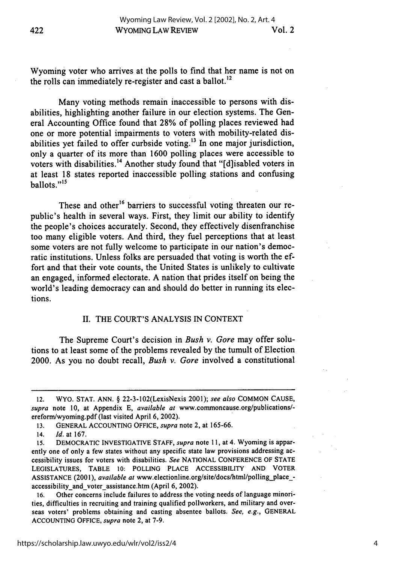Wyoming voter who arrives at the polls to find that her name is not on the rolls can immediately re-register and cast a ballot.<sup>12</sup>

Many voting methods remain inaccessible to persons with disabilities, highlighting another failure in our election systems. The General Accounting Office found that 28% of polling places reviewed had one or more potential impairments to voters with mobility-related disabilities yet failed to offer curbside voting.<sup>13</sup> In one major jurisdiction, only a quarter of its more than 1600 polling places were accessible to voters with disabilities.<sup>14</sup> Another study found that "[d]isabled voters in at least 18 states reported inaccessible polling stations and confusing  $hallots.$ "<sup>15</sup>

These and other<sup>16</sup> barriers to successful voting threaten our republic's health in several ways. First, they limit our ability to identify the people's choices accurately. Second, they effectively disenfranchise too many eligible voters. And third, they fuel perceptions that at least some voters are not fully welcome to participate in our nation's democratic institutions. Unless folks are persuaded that voting is worth the effort and that their vote counts, the United States is unlikely to cultivate an engaged, informed electorate. A nation that prides itself on being the world's leading democracy can and should do better in running its elections.

#### II. THE COURT'S ANALYSIS IN CONTEXT

The Supreme Court's decision in *Bush v. Gore* may offer solutions to at least some of the problems revealed by the tumult of Election 2000. As you no doubt recall, *Bush v. Gore* involved a constitutional

<sup>12.</sup> WYO. STAT. ANN. § 22-3-102(LexisNexis 2001); *see also* COMMON CAUSE, supra note 10, at Appendix E, *available at www.commoncause.org/publications/*ereform/wyoming.pdf (last visited April 6, 2002).

<sup>13.</sup> GENERAL ACCOUNTING OFFICE, *supra* note 2, at 165-66.

<sup>14.</sup> *Id.* at 167.

**<sup>15.</sup>** DEMOCRATIC INVESTIGATIVE STAFF, *supra* note 11, at 4. Wyoming is apparently one of only a few states without any specific state law provisions addressing accessibility issues for voters with disabilities. *See* NATIONAL CONFERENCE OF STATE LEGISLATURES, TABLE 10: POLLING PLACE ACCESSIBILITY AND VOTER ASSISTANCE (2001), *available at* www.electionline.org/site/docs/html/polling\_placeaccessibility and voter assistance.htm (April 6, 2002).

<sup>16.</sup> Other concerns include failures to address the voting needs of language minorities, difficulties in recruiting and training qualified pollworkers, and military and overseas voters' problems obtaining and casting absentee ballots. *See, e.g.,* GENERAL ACCOUNTING OFFICE, *supra* note 2, at 7-9.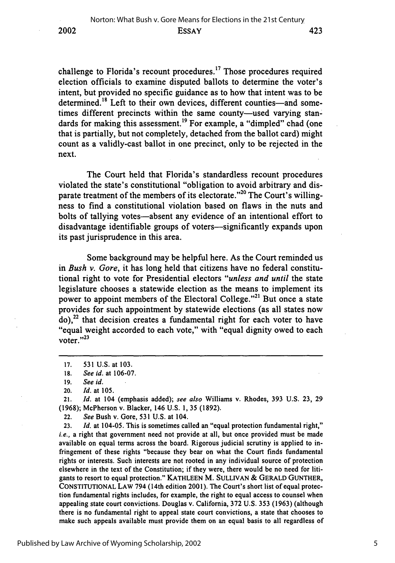challenge to Florida's recount procedures. 17 Those procedures required election officials to examine disputed ballots to determine the voter's intent, but provided no specific guidance as to how that intent was to be determined.<sup>18</sup> Left to their own devices, different counties—and sometimes different precincts within the same county-used varying standards for making this assessment.<sup>19</sup> For example, a "dimpled" chad (one that is partially, but not completely, detached from the ballot card) might count as a validly-cast ballot in one precinct, only to be rejected in the next.

The Court held that Florida's standardless recount procedures violated the state's constitutional "obligation to avoid arbitrary and disparate treatment of the members of its electorate."<sup>20</sup> The Court's willingness to find a constitutional violation based on flaws in the nuts and bolts of tallying votes-absent any evidence of an intentional effort to disadvantage identifiable groups of voters—significantly expands upon its past jurisprudence in this area.

Some background may be helpful here. As the Court reminded us in *Bush v. Gore,* it has long held that citizens have no federal constitutional right to vote for Presidential electors *"unless and until* the state legislature chooses a statewide election as the means to implement its power to appoint members of the Electoral College."<sup>21</sup> But once a state provides for such appointment **by** statewide elections (as all states now  $\alpha$ <sup>22</sup> that decision creates a fundamental right for each voter to have "equal weight accorded to each vote," with "equal dignity owed to each voter." $^{23}$ 

21. *Id.* at 104 (emphasis added); *see also* Williams v. Rhodes, **393 U.S. 23, 29 (1968);** McPherson v. Blacker, 146 U.S. **1, 35 (1892).**

22. *See* Bush v. Gore, **531** U.S. at 104.

**23.** *Id.* at 104-05. This is sometimes called an "equal protection fundamental right," *i.e.*, a right that government need not provide at all, but once provided must be made available on equal terms across the board. Rigorous judicial scrutiny is applied to infringement of these rights "because they bear on what the Court finds fundamental rights or interests. Such interests are not rooted in any individual source of protection elsewhere in the text of the Constitution; if they were, there would be no need for litigants to resort to equal protection." **KATHLEEN** M. SULLIVAN **& GERALD GUNTHER,** CONSTITUTIONAL LAW 794 (14th edition 2001). The Court's short list of equal protection fundamental rights includes, for example, the right to equal access to counsel when appealing state court convictions. Douglas v. California, **372** U.S. **353** (1963) (although there is no fundamental right to appeal state court convictions, a state that chooses to make such appeals available must provide them on an equal basis to all regardless of

**<sup>17. 531</sup> U.S.** at **103.**

**<sup>18.</sup>** *See id.* at **106-07.**

**<sup>19.</sup>** *See id.*

<sup>20.</sup> *Id.* at **105.**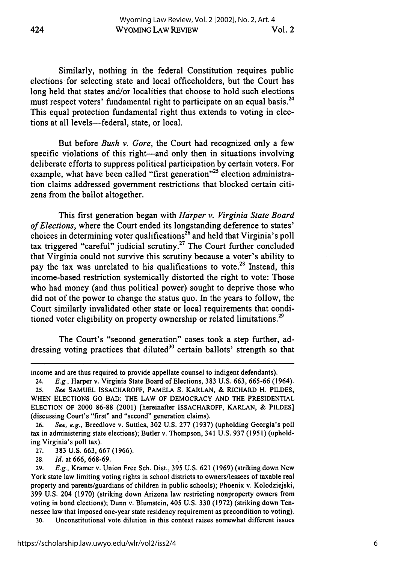Similarly, nothing in the federal Constitution requires public elections for selecting state and local officeholders, but the Court has long held that states and/or localities that choose to hold such elections must respect voters' fundamental right to participate on an equal basis.<sup>24</sup> This equal protection fundamental right thus extends to voting in elections at all levels-federal, state, or local.

But before *Bush v. Gore,* the Court had recognized only a few specific violations of this right—and only then in situations involving deliberate efforts to suppress political participation by certain voters. For example, what have been called "first generation"<sup>25</sup> election administration claims addressed government restrictions that blocked certain citizens from the ballot altogether.

This first generation began with *Harper v. Virginia State Board of Elections,* where the Court ended its longstanding deference to states' choices in determining voter qualifications<sup>26</sup> and held that Virginia's poll tax triggered "careful" judicial scrutiny.27 The Court further concluded that Virginia could not survive this scrutiny because a voter's ability to pay the tax was unrelated to his qualifications to vote.<sup>28</sup> Instead, this income-based restriction systemically distorted the right to vote: Those who had money (and thus political power) sought to deprive those who did not of the power to change the status quo. In the years to follow, the Court similarly invalidated other state or local requirements that conditioned voter eligibility on property ownership or related limitations.<sup>29</sup>

The Court's "second generation" cases took a step further, addressing voting practices that diluted<sup>30</sup> certain ballots' strength so that

- 27. 383 U.S. 663, 667 (1966).
- 28. *Id.* at 666, 668-69.

30. Unconstitutional vote dilution in this context raises somewhat different issues

income and are thus required to provide appellate counsel to indigent defendants).

<sup>24.</sup> *E.g.,* Harper v. Virginia State Board of Elections, 383 U.S. 663, 665-66 (1964).

<sup>25.</sup> *See* SAMUEL ISSACHAROFF, PAMELA S. KARLAN, & RICHARD H. PILDES, WHEN ELECTIONS GO BAD: THE LAW OF DEMOCRACY AND THE PRESIDENTIAL ELECTION OF 2000 86-88 (2001) [hereinafter ISSACHAROFF, KARLAN, & PILDES] (discussing Court's "first" and "second" generation claims).

<sup>26.</sup> *See, e.g.,* Breedlove v. Suttles, 302 U.S. 277 (1937) (upholding Georgia's poll tax in administering state elections); Butler v. Thompson, 341 U.S. 937 (1951) (upholding. Virginia's poll tax).

<sup>29.</sup> *E.g.,* Kramer v. Union Free Sch. Dist., 395 U.S. 621 (1969) (striking down New York state law limiting voting rights in school districts to owners/lessees of taxable real property and parents/guardians of children in public schools); Phoenix v. Kolodziejski, 399 U.S. 204 (1970) (striking down Arizona law restricting nonproperty owners from voting in bond elections); Dunn v. Blumstein, 405 U.S. 330 (1972) (striking down Tennessee law that imposed one-year state residency requirement as precondition to voting).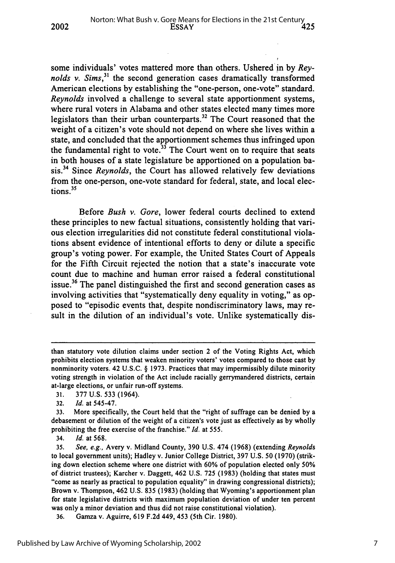some individuals' votes mattered more than others. Ushered in by *Reynolds v. Sims*,<sup>31</sup> the second generation cases dramatically transformed American elections by establishing the "one-person, one-vote" standard. *Reynolds* involved a challenge to several state apportionment systems, where rural voters in Alabama and other states elected many times more legislators than their urban counterparts.<sup>32</sup> The Court reasoned that the weight of a citizen's vote should not depend on where she lives within a state, and concluded that the apportionment schemes thus infringed upon the fundamental right to vote. $33$  The Court went on to require that seats in both houses of a state legislature be apportioned on a population basis.34 Since *Reynolds,* the Court has allowed relatively few deviations from the one-person, one-vote standard for federal, state, and local elections.35

Before *Bush v. Gore,* lower federal courts declined to extend these principles to new factual situations, consistently holding that various election irregularities did not constitute federal constitutional violations absent evidence of intentional efforts to deny or dilute a specific group's voting power. For example, the United States Court of Appeals for the Fifth Circuit rejected the notion that a state's inaccurate vote count due to machine and human error raised a federal constitutional issue.<sup>36</sup> The panel distinguished the first and second generation cases as involving activities that "systematically deny equality in voting," as opposed to "episodic events that, despite nondiscriminatory laws, may result in the dilution of an individual's vote. Unlike systematically dis-

**2002**

34. *Id.* at **568.**

**36.** Gamza v. Aguirre, **619 F.2d** 449, 453 (5th Cir. **1980).**

than statutory vote dilution claims under section 2 of the Voting Rights Act, which prohibits election systems that weaken minority voters' votes compared to those cast **by** nonminority voters. 42 **U.S.C.** § **1973.** Practices that may impermissibly dilute minority voting strength in violation of the Act include racially gerrymandered districts, certain at-large elections, or unfair run-off systems.

**<sup>31. 377</sup> U.S. 533** (1964).

**<sup>32.</sup>** *Id.* at 545-47.

**<sup>33.</sup>** More specifically, the Court held that the "right of suffrage can be denied **by** a debasement or dilution of the weight of a citizen's vote just as effectively as **by** wholly prohibiting the free exercise of the franchise." *Id.* at **555.**

**<sup>35.</sup>** See, e.g., Avery v. Midland County, **390 U.S.** 474 **(1968)** (extending *Reynolds* to local government units); Hadley v. Junior College District, **397 U.S. 50 (1970)** (striking down election scheme where one district with **60%** of population elected only **50%** of district trustees); Karcher v. Daggett, 462 **U.S. 725 (1983)** (holding that states must "come as nearly as practical to population equality" in drawing congressional districts); Brown v. Thompson, 462 **U.S. 835 (1983)** (holding that Wyoming's apportionment plan for state legislative districts with maximum population deviation of under ten percent was only a minor deviation and thus did not raise constitutional violation).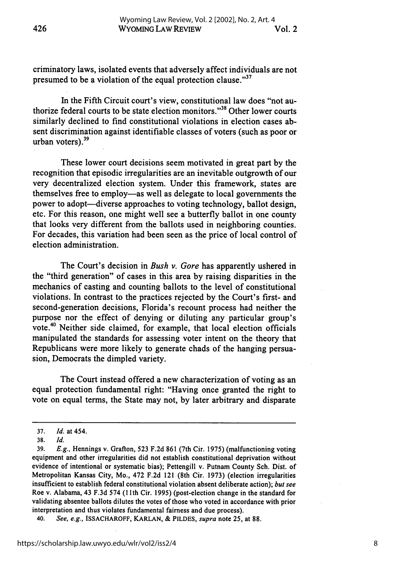criminatory laws, isolated events that adversely affect individuals are not presumed to be a violation of the equal protection clause."<sup>37</sup>

In the Fifth Circuit court's view, constitutional law does "not authorize federal courts to be state election monitors."<sup>38</sup> Other lower courts similarly declined to find constitutional violations in election cases absent discrimination against identifiable classes of voters (such as poor or urban voters). $39$ 

These lower court decisions seem motivated in great part **by** the recognition that episodic irregularities are an inevitable outgrowth of our very decentralized election system. Under this framework, states are themselves free to employ-as well as delegate to local governments the power to adopt-diverse approaches to voting technology, ballot design, etc. For this reason, one might well see a butterfly ballot in one county that looks very different from the ballots used in neighboring counties. For decades, this variation had been seen as the price of local control of election administration.

The Court's decision in *Bush v. Gore* has apparently ushered in the "third generation" of cases in this area **by** raising disparities in the mechanics of casting and counting ballots to the level of constitutional violations. In contrast to the practices rejected **by** the Court's first- and second-generation decisions, Florida's recount process had neither the purpose nor the effect of denying or diluting any particular group's vote.<sup>40</sup> Neither side claimed, for example, that local election officials manipulated the standards for assessing voter intent on the theory that Republicans were more likely to generate chads of the hanging persuasion, Democrats the dimpled variety.

The Court instead offered a new characterization of voting as an equal protection fundamental right: "Having once granted the right to vote on equal terms, the State may not, **by** later arbitrary and disparate

**<sup>37.</sup>** *Id.* at **454.**

**<sup>38.</sup>** *Id.*

**<sup>39.</sup>** *E.g.,* Hennings v. Grafton, **523 F.2d 861** (7th Cir. **1975)** (malfunctioning voting equipment and other irregularities did not establish constitutional deprivation without evidence of intentional or systematic bias); Pettengill v. Putnam County Sch. Dist. of Metropolitan Kansas City, Mo., 472 **F.2d** 121 (8th Cir. **1973)** (election irregularities insufficient to establish federal constitutional violation absent deliberate action); *but* see Roe v. Alabama, 43 **F.3d** 574 **(11th** Cir. **1995)** (post-election change in the standard for validating absentee ballots dilutes the votes of those who voted in accordance with prior interpretation and thus violates fundamental fairness and due process).

<sup>40.</sup> *See, e.g.,* **ISSACHAROFF, KARLAN, & PILDES,** *supra* note **25,** at **88.**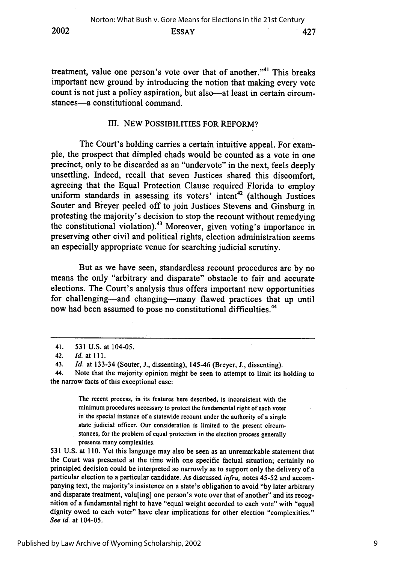treatment, value one person's vote over that of another."<sup>41</sup> This breaks important new ground **by** introducing the notion that making every vote

#### III. **NEW** POSSIBILITIES FOR REFORM?

count is not just a policy aspiration, but also-at least in certain circum-

stances-a constitutional command.

The Court's holding carries a certain intuitive appeal. For example, the prospect that dimpled chads would be counted as a vote in one precinct, only to be discarded as an "undervote" in the next, feels deeply unsettling. Indeed, recall that seven Justices shared this discomfort, agreeing that the Equal Protection Clause required Florida to employ uniform standards in assessing its voters' intent<sup>42</sup> (although Justices Souter and Breyer peeled off to join Justices Stevens and Ginsburg in protesting the majority's decision to stop the recount without remedying the constitutional violation).43 Moreover, given voting's importance in preserving other civil and political rights, election administration seems an especially appropriate venue for searching judicial scrutiny.

But as we have seen, standardless recount procedures are **by** no means the only "arbitrary and disparate" obstacle to fair and accurate elections. The Court's analysis thus offers important new opportunities for challenging-and changing-many flawed practices that up until now had been assumed to pose no constitutional difficulties.<sup>44</sup>

The recent process, in its features here described, is inconsistent with the minimum procedures necessary to protect the fundamental right of each voter in the special instance of a statewide recount under the authority of a single state judicial officer. Our consideration is limited to the present circumstances, for the problem of equal protection in the election process generally presents many complexities.

**531 U.S.** at **110.** Yet this language may also be seen as an unremarkable statement that the Court was presented at the time with one specific factual situation; certainly no principled decision could be interpreted so narrowly as to support only the delivery of a particular election to a particular candidate. As discussed *infra,* notes 45-52 and accompanying text, the majority's insistence on a state's obligation to avoid **"by** later arbitrary and disparate treatment, valu[ing] one person's vote over that of another" and its recognition of a fundamental right to have "equal weight accorded to each vote" with "equal dignity owed to each voter" have clear implications for other election "complexities." *See id.* at 104-05.

<sup>41.</sup> **531** U.S. at 104-05.

<sup>42.</sup> *Id.* at **111.**

<sup>43.</sup> *Id.* at 133-34 (Souter, **J.,** dissenting), 145-46 (Breyer, **J.,** dissenting).

<sup>44.</sup> Note that the majority opinion might be seen to attempt to limit its holding to the narrow facts of this exceptional case: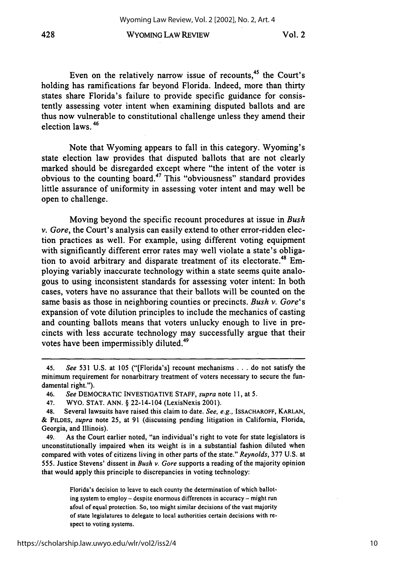#### WYOMING LAW REVIEW 428 Vol. 2

Even on the relatively narrow issue of recounts,<sup>45</sup> the Court's holding has ramifications far beyond Florida. Indeed, more than thirty states share Florida's failure to provide specific guidance for consistently assessing voter intent when examining disputed ballots and are thus now vulnerable to constitutional challenge unless they amend their election laws. **46**

Note that Wyoming appears to fall in this category. Wyoming's state election law provides that disputed ballots that are not clearly marked should be disregarded except where "the intent of the voter is obvious to the counting board. 47 This "obviousness" standard provides little assurance of uniformity in assessing voter intent and may well be open to challenge.

Moving beyond the specific recount procedures at issue in *Bush v. Gore,* the Court's analysis can easily extend to other error-ridden election practices as well. For example, using different voting equipment with significantly different error rates may well violate a state's obligation to avoid arbitrary and disparate treatment of its electorate.<sup>48</sup> Employing variably inaccurate technology within a state seems quite analogous to using inconsistent standards for assessing voter intent: In both cases, voters have no assurance that their ballots will be counted on the same basis as those in neighboring counties or precincts. *Bush v. Gore's* expansion of vote dilution principles to include the mechanics of casting and counting ballots means that voters unlucky enough to live in precincts with less accurate technology may successfully argue that their votes have been impermissibly diluted.<sup>49</sup>

<sup>45.</sup> *See* 531 U.S. at 105 ("[Florida's] recount mechanisms . . . do not satisfy the minimum requirement for nonarbitrary treatment of voters necessary to secure the fundamental right.").

<sup>46.</sup> *See* DEMOCRATIC INVESTIGATIVE STAFF, *supra* note 11, at 5.

<sup>47.</sup> WYO. STAT. ANN. § 22-14-104 (LexisNexis 2001).

<sup>48.</sup> Several lawsuits have raised this claim to date. *See, e.g.,* ISSACHAROFF, KARLAN, & PILDES, *supra* note 25, at 91 (discussing pending litigation in California, Florida, Georgia, and Illinois).

<sup>49.</sup> As the Court earlier noted, "an individual's right to vote for state legislators is unconstitutionally impaired when its weight is in a substantial fashion diluted when compared with votes of citizens living in other parts of the state." *Reynolds,* 377 U.S. at 555. Justice Stevens' dissent in *Bush v. Gore* supports a reading of the majority opinion that would apply this principle to discrepancies in voting technology:

Florida's decision to leave to each county the determination of which balloting system to employ - despite enormous differences in accuracy - might run afoul of equal protection. So, too might similar decisions of the vast majority of state legislatures to delegate to local authorities certain decisions with respect to voting systems.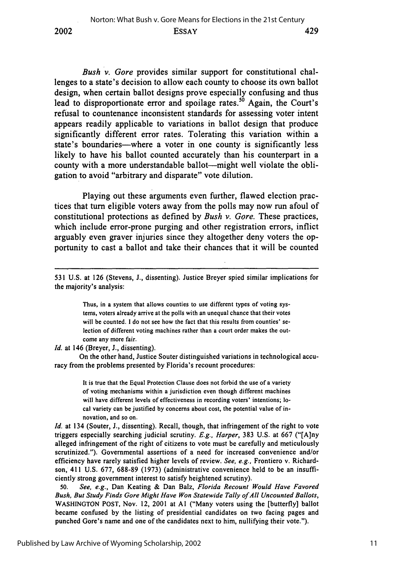*Bush v. Gore* provides similar support for constitutional challenges to a state's decision to allow each county to choose its own ballot design, when certain ballot designs prove especially confusing and thus lead to disproportionate error and spoilage rates.<sup>50</sup> Again, the Court's refusal to countenance inconsistent standards for assessing voter intent appears readily applicable to variations in ballot design that produce significantly different error rates. Tolerating this variation within a state's boundaries—where a voter in one county is significantly less likely to have his ballot counted accurately than his counterpart in a county with a more understandable ballot—might well violate the obligation to avoid "arbitrary and disparate" vote dilution.

Playing out these arguments even further, flawed election practices that turn eligible voters away from the polls may now run afoul of constitutional protections as defined by *Bush v. Gore.* These practices, which include error-prone purging and other registration errors, inflict arguably even graver injuries since they altogether deny voters the opportunity to cast a ballot and take their chances that it will be counted

Thus, in a system that allows counties to use different types of voting systems, voters already arrive at the polls with an unequal chance that their votes will be counted. I do not see how the fact that this results from counties' selection of different voting machines rather than a court order makes the outcome any more fair.

*Id.* at 146 (Breyer, J., dissenting).

On the other hand, Justice Souter distinguished variations in technological accuracy from the problems presented by Florida's recount procedures:

> It is true that the Equal Protection Clause does not forbid the use of a variety of voting mechanisms within a jurisdiction even though different machines will have different levels of effectiveness in recording voters' intentions; local variety can be justified by concerns about cost, the potential value of innovation, and so on.

*Id.* at 134 (Souter, J., dissenting). Recall, though, that infringement of the right to vote triggers especially searching judicial scrutiny. *E.g., Harper,* **383** U.S. at 667 ("[A]ny alleged infringement of the right of citizens to vote must be carefully and meticulously scrutinized."). Governmental assertions of a need for increased convenience and/or efficiency have rarely satisfied higher levels of review. *See, e.g.,* Frontiero v. Richardson, 411 U.S. 677, 688-89 (1973) (administrative convenience held to be an insufficiently strong government interest to satisfy heightened scrutiny).

50. *See, e.g.,* Dan Keating & Dan Balz, *Florida Recount Would Have Favored Bush, But Study Finds Gore Might Have Won Statewide Tally ofAll Uncounted Ballots,* WASHINGTON POST, Nov. 12, 2001 at **AI** ("Many voters using the [butterfly] ballot became confused by the listing of presidential candidates on two facing pages and punched Gore's name and one of the candidates next to him, nullifying their vote.").

<sup>531</sup> U.S. at 126 (Stevens, J., dissenting). Justice Breyer spied similar implications for the majority's analysis: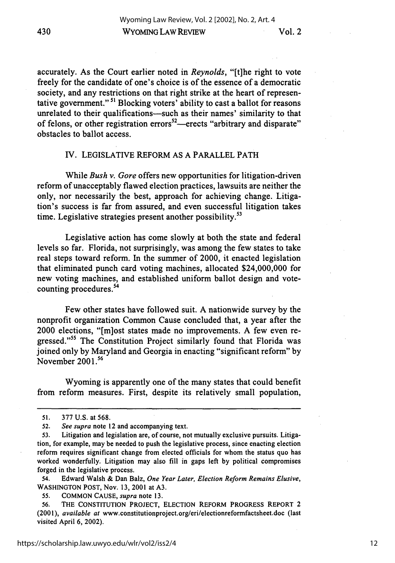Vol. 2

accurately. As the Court earlier noted in *Reynolds,* "[t]he right to vote freely for the candidate of one's choice is of the essence of a democratic society, and any restrictions on that right strike at the heart of representative government."<sup>51</sup> Blocking voters' ability to cast a ballot for reasons unrelated to their qualifications-such as their names' similarity to that of felons, or other registration errors<sup>52</sup>—erects "arbitrary and disparate" obstacles to ballot access.

#### IV. LEGISLATIVE REFORM AS A PARALLEL PATH

While *Bush v. Gore* offers new opportunities for litigation-driven reform of unacceptably flawed election practices, lawsuits are neither the only, nor necessarily the best, approach for achieving change. Litigation's success is far from assured, and even successful litigation takes time. Legislative strategies present another possibility.<sup>53</sup>

Legislative action has come slowly at both the state and federal levels so far. Florida, not surprisingly, was among the few states to take real steps toward reform. In the summer of 2000, it enacted legislation that eliminated punch card voting machines, allocated \$24,000,000 for new voting machines, and established uniform ballot design and votecounting procedures.<sup>54</sup>

Few other states have followed suit. A nationwide survey **by** the nonprofit organization Common Cause concluded that, a year after the 2000 elections, "[m]ost states made no improvements. A few even regressed."<sup>55</sup> The Constitution Project similarly found that Florida was joined only **by** Maryland and Georgia in enacting "significant reform" **by** November 2001.<sup>56</sup>

Wyoming is apparently one of the many states that could benefit from reform measures. First, despite its relatively small population,

54. Edward Walsh & Dan Balz, *One Year Later, Election Reform Remains Elusive,* WASHINGTON POST, Nov. **13,** 2001 at **A3.**

<sup>51.</sup> **377** U.S. at 568.

**<sup>52.</sup>** *See supra* note 12 and accompanying text.

**<sup>53.</sup>** Litigation and legislation are, of course, not mutually exclusive pursuits. Litigation, for example, may be needed to push the legislative process, since enacting election reform requires significant change from elected officials for whom the status quo has worked wonderfully. Litigation may also fill in gaps left **by** political compromises forged in the legislative process.

*<sup>55.</sup>* COMMON CAUSE, *supra* note **13.**

**<sup>56.</sup>** THE CONSTITUTION PROJECT, ELECTION REFORM PROGRESS REPORT 2 (2001), *available at* www.constitutionproject.org/eri/electionreformfactsheet.doc (last visited April 6, 2002).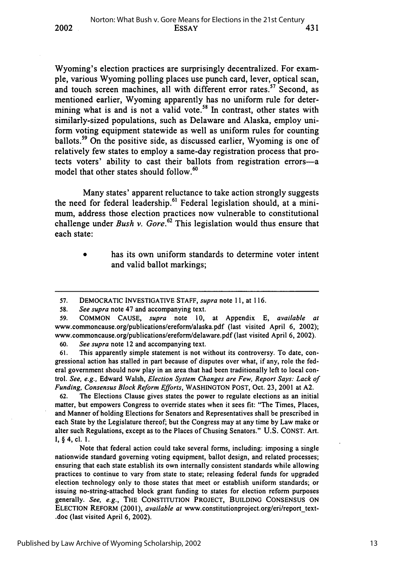Wyoming's election practices are surprisingly decentralized. For example, various Wyoming polling places use punch card, lever, optical scan, and touch screen machines, all with different error rates.<sup>57</sup> Second, as mentioned earlier, Wyoming apparently has no uniform rule for determining what is and is not a valid vote.<sup>58</sup> In contrast, other states with similarly-sized populations, such as Delaware and Alaska, employ uniform voting equipment statewide as well as uniform rules for counting ballots.59 On the positive side, as discussed earlier, Wyoming is one of relatively few states to employ a same-day registration process that protects voters' ability to cast their ballots from registration errors-a model that other states should follow.<sup>60</sup>

Many states' apparent reluctance to take action strongly suggests the need for federal leadership.<sup>61</sup> Federal legislation should, at a minimum, address those election practices now vulnerable to constitutional challenge under *Bush v. Gore.62* This legislation would thus ensure that each state:

> has its own uniform standards to determine voter intent and valid ballot markings;

**2002**

62. The Elections Clause gives states the power to regulate elections as an initial matter, but empowers Congress to override states when it sees fit: "The Times, Places, and Manner of holding Elections for Senators and Representatives shall be prescribed in each State by the Legislature thereof; but the Congress may at any time by Law make or alter such Regulations, except as to the Places of Chusing Senators." U.S. CONST. Art. **1,** § 4, cl. **1.**

Note that federal action could take several forms, including: imposing a single nationwide standard governing voting equipment, ballot design, and related processes; ensuring that each state establish its own internally consistent standards while allowing practices to continue to vary from state to state; releasing federal funds for upgraded election technology only to those states that meet or establish uniform standards; or issuing no-string-attached block grant funding to states for election reform purposes generally. *See, e.g.,* THE **CONSTITUTION PROJECT, BUILDING CONSENSUS ON ELECTION** REFORM (2001), *available at* www.constitutionproject.org/eri/report\_text- .doc (last visited April **6,** 2002).

<sup>57.</sup> DEMOCRATIC INVESTIGATIVE STAFF, *supra* note 11, at 116.

<sup>58.</sup> *See supra* note 47 and accompanying text.

<sup>59.</sup> COMMON CAUSE, *supra* note 10, at Appendix E, *available at* www.commoncause.org/publications/ereform/alaska.pdf (last visited April 6, 2002); www.commoncause.org/publications/ereform/delaware.pdf (last visited April 6, 2002).

**<sup>60.</sup>** *See supra* note 12 and accompanying text.

**<sup>61.</sup>** This apparently simple statement is not without its controversy. To date, congressional action has stalled in part because of disputes over what, if any, role the federal government should now play in an area that had been traditionally left to local control. *See,* e.g., Edward Walsh, *Election System Changes are Few, Report Says: Lack of Funding,* Consensus *Block Reform Efforts,* WASHINGTON POST, Oct. 23, 2001 at A2.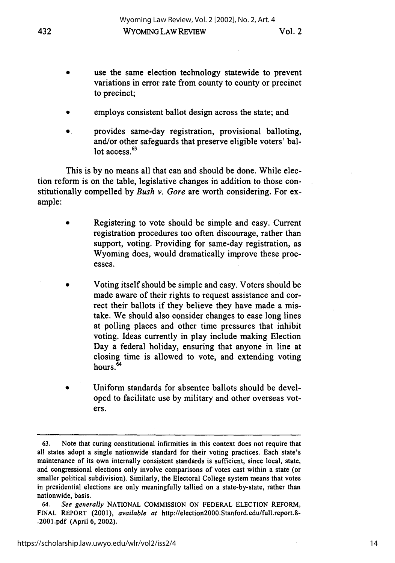- use the same election technology statewide to prevent variations in error rate from county to county or precinct to precinct;
- employs consistent ballot design across the state; and
- provides same-day registration, provisional balloting, and/or other safeguards that preserve eligible voters' ballot access.<sup>63</sup>

This is **by** no means all that can and should be done. While election reform is on the table, legislative changes in addition to those constitutionally compelled **by** *Bush v. Gore* are worth considering. For example:

- Registering to vote should be simple and easy. Current registration procedures too often discourage, rather than support, voting. Providing for same-day registration, as Wyoming does, would dramatically improve these processes.
- **0** Voting itself should be simple and easy. Voters should be made aware of their rights to request assistance and correct their ballots if they believe they have made a mistake. We should also consider changes to ease long lines at polling places and other time pressures that inhibit voting. Ideas currently in play include making Election Day a federal holiday, ensuring that anyone in line at closing time is allowed to vote, and extending voting hours.<sup>64</sup>
- Uniform standards for absentee ballots should be developed to facilitate use **by** military and other overseas voters.

**<sup>63.</sup>** Note that curing constitutional infirmities in this context does not require that all states adopt a single nationwide standard for their voting practices. Each state's maintenance of its own internally consistent standards is sufficient, since local, state, and congressional elections only involve comparisons of votes cast within a state (or smaller political subdivision). Similarly, the Electoral College system means that votes in presidential elections are only meaningfully tallied on a state-by-state, rather than nationwide, basis.

<sup>64.</sup> *See generally* NATIONAL COMMISSION ON FEDERAL ELECTION REFORM, FINAL REPORT (2001), *available at* http://election2000.Stanford.edu/full.report.8- .2001.pdf (April **6,** 2002).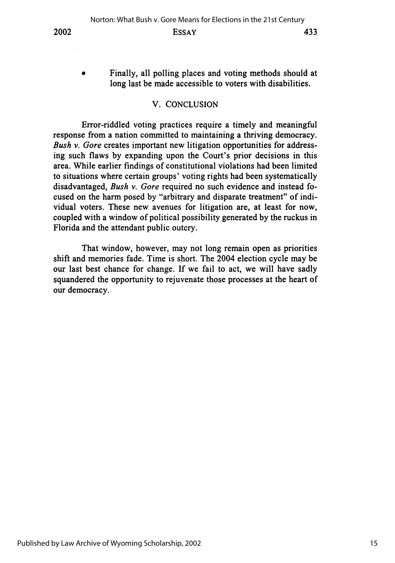Finally, all polling places and voting methods should at long last be made accessible to voters with disabilities.

#### V. CONCLUSION

Error-riddled voting practices require a timely and meaningful response from a nation committed to maintaining a thriving democracy. *Bush v. Gore* creates important new litigation opportunities for addressing such flaws **by** expanding upon the Court's prior decisions in this area. While earlier findings of constitutional violations had been limited to situations where certain groups' voting rights had been systematically disadvantaged, *Bush v. Gore* required no such evidence and instead focused on the harm posed **by** "arbitrary and disparate treatment" of individual voters. These new avenues for litigation are, at least for now, coupled with a window of political possibility generated **by** the ruckus in Florida and the attendant public outcry.

That window, however, may not long remain open as priorities shift and memories fade. Time is short. The 2004 election cycle may be our last best chance for change. **If** we fail to act, we will have sadly squandered the opportunity to rejuvenate those processes at the heart of our democracy.